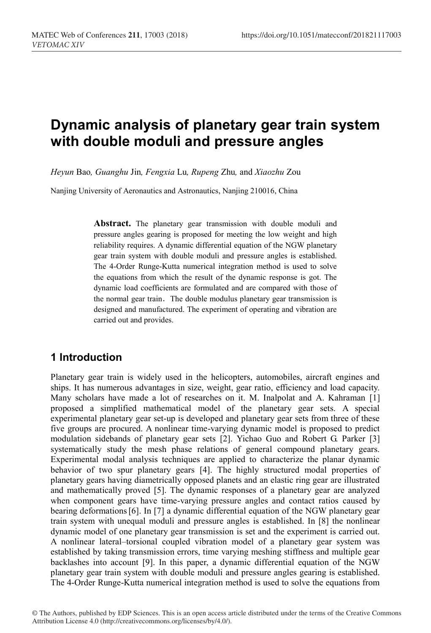# **Dynamic analysis of planetary gear train system with double moduli and pressure angles**

*Heyun* Bao*, Guanghu* Jin*, Fengxia* Lu*, Rupeng* Zhu*,* and *Xiaozhu* Zou

Nanjing University of Aeronautics and Astronautics, Nanjing 210016, China

**Abstract.** The planetary gear transmission with double moduli and pressure angles gearing is proposed for meeting the low weight and high reliability requires. A dynamic differential equation of the NGW planetary gear train system with double moduli and pressure angles is established. The 4-Order Runge-Kutta numerical integration method is used to solve the equations from which the result of the dynamic response is got. The dynamic load coefficients are formulated and are compared with those of the normal gear train. The double modulus planetary gear transmission is designed and manufactured. The experiment of operating and vibration are carried out and provides.

### **1 Introduction**

Planetary gear train is widely used in the helicopters, automobiles, aircraft engines and ships. It has numerous advantages in size, weight, gear ratio, efficiency and load capacity. Many scholars have made a lot of researches on it. M. Inalpolat and A. Kahraman [1] proposed a simplified mathematical model of the planetary gear sets. A special experimental planetary gear set-up is developed and planetary gear sets from three of these five groups are procured. A nonlinear time-varying dynamic model is proposed to predict modulation sidebands of planetary gear sets [2]. Yichao Guo and Robert G. Parker [3] systematically study the mesh phase relations of general compound planetary gears. Experimental modal analysis techniques are applied to characterize the planar dynamic behavior of two spur planetary gears [4]. The highly structured modal properties of planetary gears having diametrically opposed planets and an elastic ring gear are illustrated and mathematically proved [5]. The dynamic responses of a planetary gear are analyzed when component gears have time-varying pressure angles and contact ratios caused by bearing deformations[6]. In [7] a dynamic differential equation of the NGW planetary gear train system with unequal moduli and pressure angles is established. In [8] the nonlinear dynamic model of one planetary gear transmission is set and the experiment is carried out. A nonlinear lateral–torsional coupled vibration model of a planetary gear system was established by taking transmission errors, time varying meshing stiffness and multiple gear backlashes into account [9]. In this paper, a dynamic differential equation of the NGW planetary gear train system with double moduli and pressure angles gearing is established. The 4-Order Runge-Kutta numerical integration method is used to solve the equations from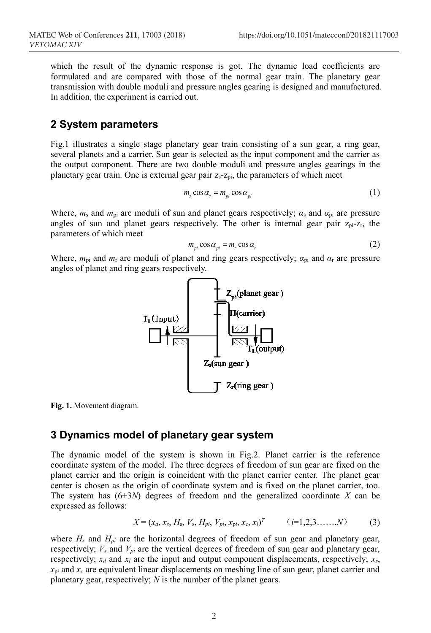which the result of the dynamic response is got. The dynamic load coefficients are formulated and are compared with those of the normal gear train. The planetary gear transmission with double moduli and pressure angles gearing is designed and manufactured. In addition, the experiment is carried out.

#### **2 System parameters**

Fig.1 illustrates a single stage planetary gear train consisting of a sun gear, a ring gear, several planets and a carrier. Sun gear is selected as the input component and the carrier as the output component. There are two double moduli and pressure angles gearings in the planetary gear train. One is external gear pair  $z_s$ - $z_{pi}$ , the parameters of which meet

$$
m_s \cos \alpha_s = m_{pi} \cos \alpha_{pi} \tag{1}
$$

Where, *m*<sup>s</sup> and *m*pi are moduli of sun and planet gears respectively; *α*<sup>s</sup> and *α*pi are pressure angles of sun and planet gears respectively. The other is internal gear pair  $z_{pi}$ - $z_{r}$ , the parameters of which meet

$$
m_{pi} \cos \alpha_{pi} = m_r \cos \alpha_r \tag{2}
$$

Where,  $m_{pi}$  and  $m_r$  are moduli of planet and ring gears respectively;  $a_{pi}$  and  $a_r$  are pressure angles of planet and ring gears respectively.



**Fig. 1.** Movement diagram.

### **3 Dynamics model of planetary gear system**

The dynamic model of the system is shown in Fig.2. Planet carrier is the reference coordinate system of the model. The three degrees of freedom of sun gear are fixed on the planet carrier and the origin is coincident with the planet carrier center. The planet gear center is chosen as the origin of coordinate system and is fixed on the planet carrier, too. The system has (6+3*N*) degrees of freedom and the generalized coordinate *X* can be expressed as follows:

$$
X = (x_d, x_s, H_s, V_s, H_{pi}, V_{pi}, x_{pi}, x_c, x_l)^T \qquad (i=1,2,3,\ldots,N)
$$
 (3)

where *H<sub>s</sub>* and *H<sub>pi</sub>* are the horizontal degrees of freedom of sun gear and planetary gear, respectively;  $V_s$  and  $V_{pi}$  are the vertical degrees of freedom of sun gear and planetary gear, respectively;  $x_d$  and  $x_l$  are the input and output component displacements, respectively;  $x_s$ ,  $x_{pi}$  and  $x_c$  are equivalent linear displacements on meshing line of sun gear, planet carrier and planetary gear, respectively; *N* is the number of the planet gears.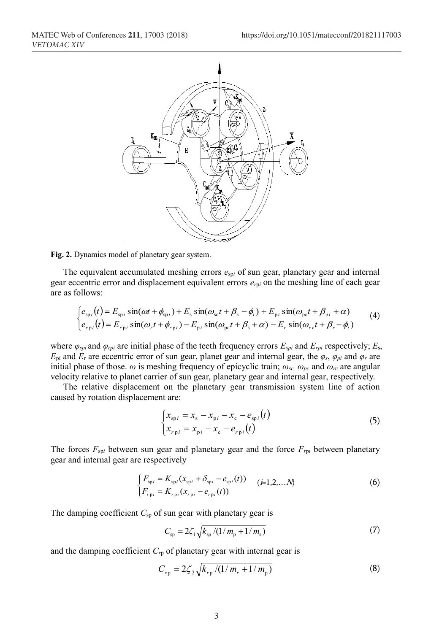

**Fig. 2.** Dynamics model of planetary gear system.

The equivalent accumulated meshing errors  $e_{\text{spl}}$  of sun gear, planetary gear and internal gear eccentric error and displacement equivalent errors *er*<sup>p</sup>*<sup>i</sup>* on the meshing line of each gear are as follows:

$$
\begin{cases}\ne_{\text{sp}i}(t) = E_{\text{sp}i}\sin(\omega t + \phi_{\text{sp}i}) + E_{\text{s}}\sin(\omega_{\text{s}c}t + \beta_{\text{s}} - \phi_i) + E_{\text{p}i}\sin(\omega_{\text{pc}}t + \beta_{\text{p}i} + \alpha) \\
e_{r\text{p}i}(t) = E_{r\text{p}i}\sin(\omega_r t + \phi_{r\text{p}i}) - E_{\text{p}i}\sin(\omega_{\text{pc}}t + \beta_{\text{s}} + \alpha) - E_r\sin(\omega_{r\text{c}t} + \beta_r - \phi_i)\n\end{cases}
$$
\n(4)

where *φspi* and *φrpi* are initial phase of the teeth frequency errors *Espi* and *Erpi* respectively; *E*s,  $E_{pi}$  and  $E_r$  are eccentric error of sun gear, planet gear and internal gear, the  $\varphi_s$ ,  $\varphi_{pi}$  and  $\varphi_r$  are initial phase of those.  $\omega$  is meshing frequency of epicyclic train;  $\omega_{sc}$ ,  $\omega_{pc}$  and  $\omega_{rc}$  are angular velocity relative to planet carrier of sun gear, planetary gear and internal gear, respectively.

The relative displacement on the planetary gear transmission system line of action caused by rotation displacement are:

$$
\begin{cases} x_{\rm spi} = x_{\rm s} - x_{\rm p i} - x_{\rm c} - e_{\rm spi}(t) \\ x_{r \rm p i} = x_{\rm p i} - x_{\rm c} - e_{r \rm p i}(t) \end{cases}
$$
(5)

The forces  $F_{\text{spl}}$  between sun gear and planetary gear and the force  $F_{\text{rpl}}$  between planetary gear and internal gear are respectively

$$
\begin{cases}\nF_{\text{sp}i} = K_{\text{sp}i}(x_{\text{sp}i} + \delta_{\text{sp}i} - e_{\text{sp}i}(t)) & (i=1,2,...N) \\
F_{\text{sp}i} = K_{\text{sp}i}(x_{\text{sp}i} - e_{\text{sp}i}(t))\n\end{cases}
$$
\n(6)

The damping coefficient  $C_{sp}$  of sun gear with planetary gear is

$$
C_{\rm sp} = 2\zeta_1 \sqrt{k_{\rm sp} / (1/m_{\rm p} + 1/m_{\rm s})}
$$
 (7)

and the damping coefficient  $C_{rp}$  of planetary gear with internal gear is

$$
C_{rp} = 2\zeta_2 \sqrt{k_{rp}/(1/m_r + 1/m_p)}
$$
 (8)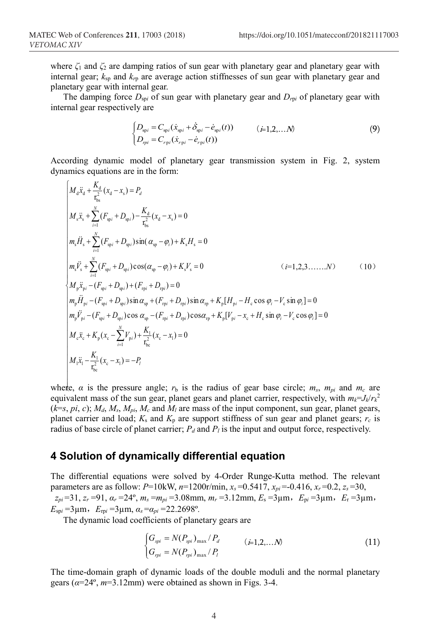where *ζ*<sup>1</sup> and *ζ*<sup>2</sup> are damping ratios of sun gear with planetary gear and planetary gear with internal gear; *k*sp and *kr*<sup>p</sup> are average action stiffnesses of sun gear with planetary gear and planetary gear with internal gear.

The damping force  $D_{\text{sp}i}$  of sun gear with planetary gear and  $D_{\text{rp}i}$  of planetary gear with internal gear respectively are

$$
\begin{cases}\nD_{\text{sp}i} = C_{\text{sp}i}(\dot{x}_{\text{sp}i} + \dot{\delta}_{\text{sp}i} - \dot{e}_{\text{sp}i}(t)) & (i=1,2,...N) \\
D_{\text{p}i} = C_{\text{rp}i}(\dot{x}_{\text{rp}i} - \dot{e}_{\text{rp}i}(t))\n\end{cases}
$$
\n(9)

According dynamic model of planetary gear transmission system in Fig. 2, system dynamics equations are in the form:

$$
\begin{vmatrix}\nM_d\ddot{x}_d + \frac{K_d}{r_{bs}^2}(x_d - x_s) = P_d \\
M_s\ddot{x}_s + \sum_{i=1}^N (F_{spi} + D_{spi}) - \frac{K_d}{r_{bs}^2}(x_d - x_s) = 0 \\
m_s\ddot{H}_s + \sum_{i=1}^N (F_{spi} + D_{spi})\sin(\alpha_{sp} - \varphi_i) + K_sH_s = 0 \\
m_s\ddot{V}_s + \sum_{i=1}^N (F_{spi} + D_{spi})\cos(\alpha_{sp} - \varphi_i) + K_sV_s = 0 \qquad (i=1,2,3,.....N) \qquad (10) \\
M_p\ddot{x}_{pi} - (F_{spi} + D_{spi}) + (F_{rpi} + D_{rpii}) = 0 \\
m_p\ddot{H}_{pi} - (F_{spi} + D_{spi})\sin\alpha_{sp} + (F_{rpi} + D_{rpii})\sin\alpha_{sp} + K_p[H_{pi} - H_c \cos\varphi_i - V_c \sin\varphi_i] = 0 \\
m_p\ddot{V}_{pi} - (F_{spi} + D_{spi})\cos\alpha_{sp} - (F_{rpi} + D_{rpii})\cos\alpha_{rp} + K_p[V_{pi} - x_c + H_c \sin\varphi_i - V_c \cos\varphi_i] = 0 \\
M_c\ddot{x}_c + K_p(x_c - \sum_{i=1}^N V_{pii}) + \frac{K_1}{r_{bs}^2}(x_c - x_i) = 0 \\
M_1\ddot{x}_1 - \frac{K_1}{r_{bs}^2}(x_c - x_i) = -P_l\n\end{vmatrix}
$$

where, *α* is the pressure angle; *r*<sup>b</sup> is the radius of gear base circle; *ms*, *mpi* and *mc* are equivalent mass of the sun gear, planet gears and planet carrier, respectively, with  $m_k = J_k/r_k^2$  $(k=$ s, *pi*, *c*); *M<sub>d</sub>*, *M<sub>s</sub>*, *M<sub>pi</sub>*, *M<sub>c</sub>* and *M<sub>l</sub>* are mass of the input component, sun gear, planet gears, planet carrier and load;  $K_s$  and  $K_p$  are support stiffness of sun gear and planet gears;  $r_c$  is radius of base circle of planet carrier;  $P_d$  and  $P_l$  is the input and output force, respectively.

#### **4 Solution of dynamically differential equation**

The differential equations were solved by 4-Order Runge-Kutta method. The relevant parameters are as follow: *P*=10kW, *n*=1200r/min, *xs* =0.5417, *xpi* =-0.416, *xr* =0.2, *zs* =30, *zpi* =31, *zr* =91, *αr =*24º, *ms* =*mpi* =3.08mm, *mr* =3.12mm, *E*<sup>s</sup> =3µm,*E*<sup>p</sup>*<sup>i</sup>* =3µm,*E*<sup>r</sup> =3µm,  $E_{\text{spl}} = 3\,\mu\text{m}$ ,  $E_{\text{rpi}} = 3\,\mu\text{m}$ ,  $\alpha_s = \alpha_{pi} = 22.2698^\circ$ .

The dynamic load coefficients of planetary gears are

$$
\begin{cases}\nG_{\text{spi}} = N(P_{\text{spi}})_{\text{max}} / P_d & (i=1,2,\dots,N) \\
G_{\text{spi}} = N(P_{\text{spi}})_{\text{max}} / P_l\n\end{cases} \tag{11}
$$

The time-domain graph of dynamic loads of the double moduli and the normal planetary gears (*α*=24º, *m*=3.12mm) were obtained as shown in Figs. 3-4.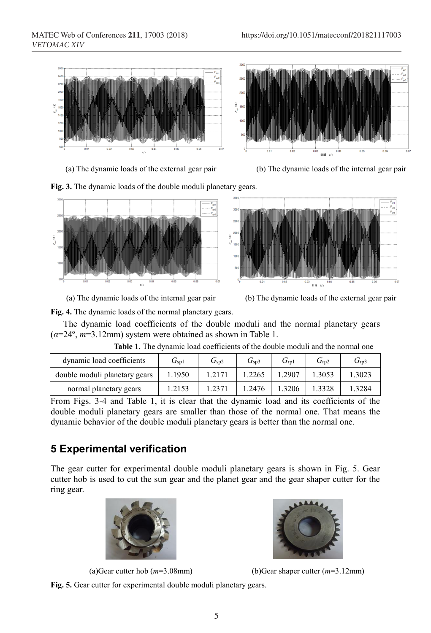



**Fig. 3.** The dynamic loads of the double moduli planetary gears.





(a) The dynamic loads of the internal gear pair (b) The dynamic loads of the external gear pair

**Fig. 4.** The dynamic loads of the normal planetary gears.

The dynamic load coefficients of the double moduli and the normal planetary gears (*α*=24º, *m*=3.12mm) system were obtained as shown in Table 1.

| dynamic load coefficients     | $G_{\rm{spl}}$ | $G_{\rm sp2}$ | $G_{\rm sp3}$ | $G_{\rm rD1}$ | $G_{\rm rD2}$ | $G_{\rm rD3}$ |
|-------------------------------|----------------|---------------|---------------|---------------|---------------|---------------|
| double moduli planetary gears | 1.1950         | 1.2171        | 1.2265        | 1.2907        | 1.3053        | 1.3023        |
| normal planetary gears        | 1.2153         | 1.2371        | 1.2476        | 1.3206        |               | 1.3284        |

**Table 1.** The dynamic load coefficients of the double moduli and the normal one

From Figs. 3-4 and Table 1, it is clear that the dynamic load and its coefficients of the double moduli planetary gears are smaller than those of the normal one. That means the dynamic behavior of the double moduli planetary gears is better than the normal one.

### **5 Experimental verification**

The gear cutter for experimental double moduli planetary gears is shown in Fig. 5. Gear cutter hob is used to cut the sun gear and the planet gear and the gear shaper cutter for the ring gear.







(a)Gear cutter hob (*m*=3.08mm) (b)Gear shaper cutter (*m*=3.12mm)

**Fig. 5.** Gear cutter for experimental double moduli planetary gears.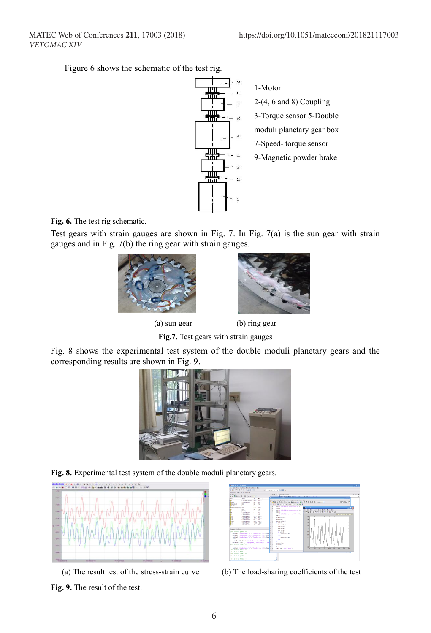Figure 6 shows the schematic of the test rig.



1-Motor 2-(4, 6 and 8) Coupling 3-Torque sensor 5-Double moduli planetary gear box 7-Speed- torque sensor 9-Magnetic powder brake

**Fig. 6.** The test rig schematic.

Test gears with strain gauges are shown in Fig. 7. In Fig. 7(a) is the sun gear with strain gauges and in Fig. 7(b) the ring gear with strain gauges.



(a) sun gear (b) ring gear

**Fig.7.** Test gears with strain gauges

Fig. 8 shows the experimental test system of the double moduli planetary gears and the corresponding results are shown in Fig. 9.



**Fig. 8.** Experimental test system of the double moduli planetary gears.



(a) The result test of the stress-strain curve (b) The load-sharing coefficients of the test



**Fig. 9.** The result of the test.